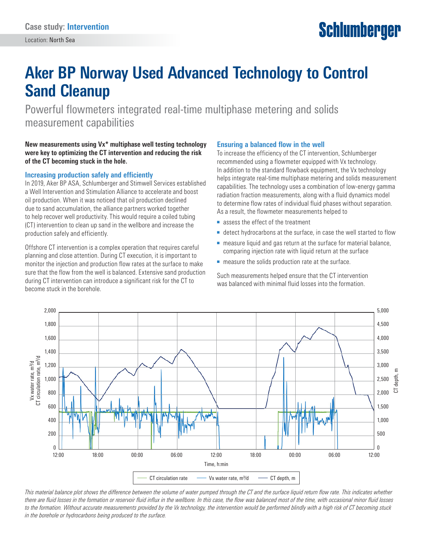# **Schlumberger**

## **Aker BP Norway Used Advanced Technology to Control Sand Cleanup**

Powerful flowmeters integrated real-time multiphase metering and solids measurement capabilities

#### **New measurements using Vx\* multiphase well testing technology were key to optimizing the CT intervention and reducing the risk of the CT becoming stuck in the hole.**

#### **Increasing production safely and efficiently**

In 2019, Aker BP ASA, Schlumberger and Stimwell Services established a Well Intervention and Stimulation Alliance to accelerate and boost oil production. When it was noticed that oil production declined due to sand accumulation, the alliance partners worked together to help recover well productivity. This would require a coiled tubing (CT) intervention to clean up sand in the wellbore and increase the production safely and efficiently.

Offshore CT intervention is a complex operation that requires careful planning and close attention. During CT execution, it is important to monitor the injection and production flow rates at the surface to make sure that the flow from the well is balanced. Extensive sand production during CT intervention can introduce a significant risk for the CT to become stuck in the borehole.

#### **Ensuring a balanced flow in the well**

To increase the efficiency of the CT intervention, Schlumberger recommended using a flowmeter equipped with Vx technology. In addition to the standard flowback equipment, the Vx technology helps integrate real-time multiphase metering and solids measurement capabilities. The technology uses a combination of low-energy gamma radiation fraction measurements, along with a fluid dynamics model to determine flow rates of individual fluid phases without separation. As a result, the flowmeter measurements helped to

- assess the effect of the treatment
- detect hydrocarbons at the surface, in case the well started to flow
- measure liquid and gas return at the surface for material balance, comparing injection rate with liquid return at the surface
- measure the solids production rate at the surface.

Such measurements helped ensure that the CT intervention was balanced with minimal fluid losses into the formation.



*This material balance plot shows the difference between the volume of water pumped through the CT and the surface liquid return flow rate. This indicates whether there are fluid losses in the formation or reservoir fluid influx in the wellbore. In this case, the flow was balanced most of the time, with occasional minor fluid losses to the formation. Without accurate measurements provided by the Vx technology, the intervention would be performed blindly with a high risk of CT becoming stuck in the borehole or hydrocarbons being produced to the surface.*